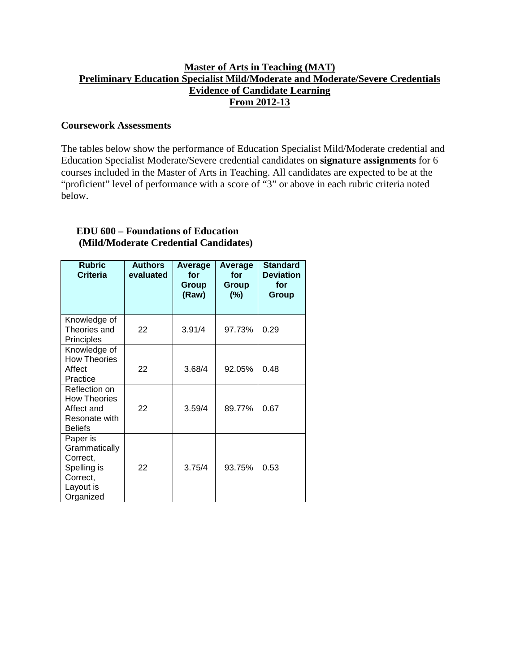## **Master of Arts in Teaching (MAT) Preliminary Education Specialist Mild/Moderate and Moderate/Severe Credentials Evidence of Candidate Learning From 2012-13**

#### **Coursework Assessments**

The tables below show the performance of Education Specialist Mild/Moderate credential and Education Specialist Moderate/Severe credential candidates on **signature assignments** for 6 courses included in the Master of Arts in Teaching. All candidates are expected to be at the "proficient" level of performance with a score of "3" or above in each rubric criteria noted below.

## **EDU 600 – Foundations of Education (Mild/Moderate Credential Candidates)**

| <b>Rubric</b><br><b>Criteria</b>                                                           | <b>Authors</b><br>evaluated | Average<br>for<br>Group<br>(Raw) | Average<br>for<br>Group<br>$(\%)$ | <b>Standard</b><br><b>Deviation</b><br>for<br>Group |
|--------------------------------------------------------------------------------------------|-----------------------------|----------------------------------|-----------------------------------|-----------------------------------------------------|
| Knowledge of<br>Theories and<br>Principles                                                 | 22                          | 3.91/4                           | 97.73%                            | 0.29                                                |
| Knowledge of<br><b>How Theories</b><br>Affect<br>Practice                                  | 22                          | 3.68/4                           | 92.05%                            | 0.48                                                |
| Reflection on<br><b>How Theories</b><br>Affect and<br>Resonate with<br><b>Beliefs</b>      | 22                          | 3.59/4                           | 89.77%                            | 0.67                                                |
| Paper is<br>Grammatically<br>Correct,<br>Spelling is<br>Correct,<br>Layout is<br>Organized | 22                          | 3.75/4                           | 93.75%                            | 0.53                                                |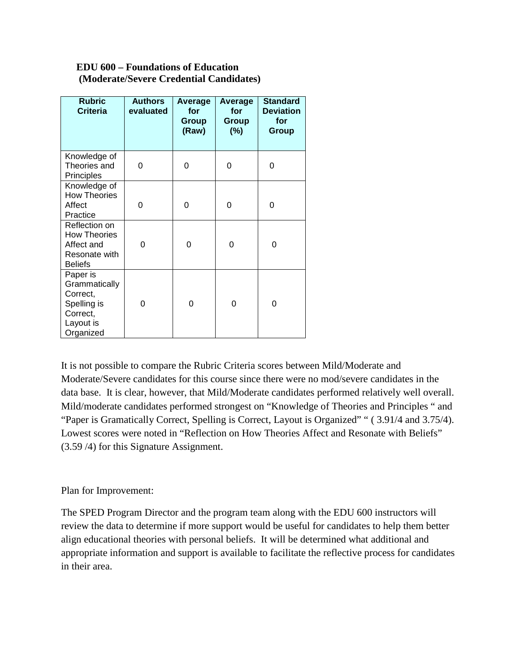## **EDU 600 – Foundations of Education (Moderate/Severe Credential Candidates)**

| <b>Rubric</b><br><b>Criteria</b>                                                           | <b>Authors</b><br>evaluated | Average<br>for<br>Group<br>(Raw) | Average<br>for<br>Group<br>$(\% )$ | <b>Standard</b><br><b>Deviation</b><br>for<br>Group |
|--------------------------------------------------------------------------------------------|-----------------------------|----------------------------------|------------------------------------|-----------------------------------------------------|
| Knowledge of<br>Theories and<br>Principles                                                 | 0                           | 0                                | 0                                  | 0                                                   |
| Knowledge of<br><b>How Theories</b><br>Affect<br>Practice                                  | 0                           | 0                                | 0                                  | 0                                                   |
| Reflection on<br><b>How Theories</b><br>Affect and<br>Resonate with<br><b>Beliefs</b>      | 0                           | 0                                | 0                                  | $\Omega$                                            |
| Paper is<br>Grammatically<br>Correct,<br>Spelling is<br>Correct,<br>Layout is<br>Organized | 0                           | 0                                | 0                                  | 0                                                   |

It is not possible to compare the Rubric Criteria scores between Mild/Moderate and Moderate/Severe candidates for this course since there were no mod/severe candidates in the data base. It is clear, however, that Mild/Moderate candidates performed relatively well overall. Mild/moderate candidates performed strongest on "Knowledge of Theories and Principles " and "Paper is Gramatically Correct, Spelling is Correct, Layout is Organized" " (3.91/4 and 3.75/4). Lowest scores were noted in "Reflection on How Theories Affect and Resonate with Beliefs" (3.59 /4) for this Signature Assignment.

# Plan for Improvement:

The SPED Program Director and the program team along with the EDU 600 instructors will review the data to determine if more support would be useful for candidates to help them better align educational theories with personal beliefs. It will be determined what additional and appropriate information and support is available to facilitate the reflective process for candidates in their area.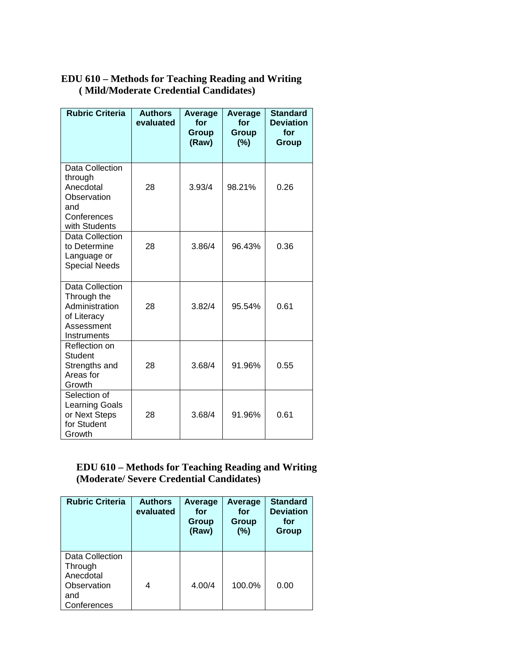# **EDU 610 – Methods for Teaching Reading and Writing ( Mild/Moderate Credential Candidates)**

| <b>Rubric Criteria</b>                                                                        | <b>Authors</b><br>evaluated | Average<br>for<br>Group<br>(Raw) | <b>Average</b><br>for<br><b>Group</b><br>(%) | <b>Standard</b><br><b>Deviation</b><br>for<br>Group |
|-----------------------------------------------------------------------------------------------|-----------------------------|----------------------------------|----------------------------------------------|-----------------------------------------------------|
| Data Collection<br>through<br>Anecdotal<br>Observation<br>and<br>Conferences<br>with Students | 28                          | 3.93/4                           | 98.21%                                       | 0.26                                                |
| Data Collection<br>to Determine<br>Language or<br><b>Special Needs</b>                        | 28                          | 3.86/4                           | 96.43%                                       | 0.36                                                |
| Data Collection<br>Through the<br>Administration<br>of Literacy<br>Assessment<br>Instruments  | 28                          | 3.82/4                           | 95.54%<br>0.61                               |                                                     |
| Reflection on<br><b>Student</b><br>Strengths and<br>Areas for<br>Growth                       | 28                          | 3.68/4                           | 91.96%                                       | 0.55                                                |
| Selection of<br><b>Learning Goals</b><br>or Next Steps<br>for Student<br>Growth               | 28                          | 3.68/4                           | 91.96%                                       | 0.61                                                |

# **EDU 610 – Methods for Teaching Reading and Writing (Moderate/ Severe Credential Candidates)**

| <b>Rubric Criteria</b>                                                       | <b>Authors</b><br>evaluated | Average<br>for<br>Group<br>(Raw) | Average<br>for<br>Group<br>(%) | <b>Standard</b><br><b>Deviation</b><br>for<br>Group |
|------------------------------------------------------------------------------|-----------------------------|----------------------------------|--------------------------------|-----------------------------------------------------|
| Data Collection<br>Through<br>Anecdotal<br>Observation<br>and<br>Conferences |                             | 4.00/4                           | 100.0%                         | 0.00                                                |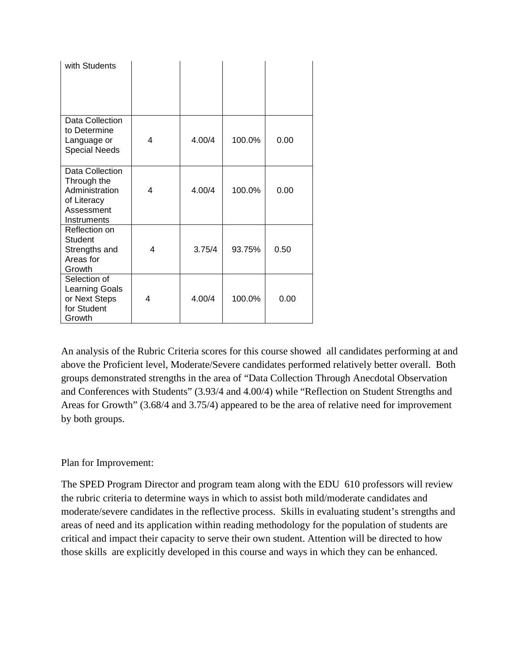| with Students                                                                                |   |        |        |      |
|----------------------------------------------------------------------------------------------|---|--------|--------|------|
| Data Collection<br>to Determine<br>Language or<br><b>Special Needs</b>                       | 4 | 4.00/4 | 100.0% | 0.00 |
| Data Collection<br>Through the<br>Administration<br>of Literacy<br>Assessment<br>Instruments | 4 | 4.00/4 | 100.0% | 0.00 |
| Reflection on<br>Student<br>Strengths and<br>Areas for<br>Growth                             | 4 | 3.75/4 | 93.75% | 0.50 |
| Selection of<br><b>Learning Goals</b><br>or Next Steps<br>for Student<br>Growth              | 4 | 4.00/4 | 100.0% | 0.00 |

An analysis of the Rubric Criteria scores for this course showed all candidates performing at and above the Proficient level, Moderate/Severe candidates performed relatively better overall. Both groups demonstrated strengths in the area of "Data Collection Through Anecdotal Observation and Conferences with Students" (3.93/4 and 4.00/4) while "Reflection on Student Strengths and Areas for Growth" (3.68/4 and 3.75/4) appeared to be the area of relative need for improvement by both groups.

# Plan for Improvement:

The SPED Program Director and program team along with the EDU 610 professors will review the rubric criteria to determine ways in which to assist both mild/moderate candidates and moderate/severe candidates in the reflective process. Skills in evaluating student's strengths and areas of need and its application within reading methodology for the population of students are critical and impact their capacity to serve their own student. Attention will be directed to how those skills are explicitly developed in this course and ways in which they can be enhanced.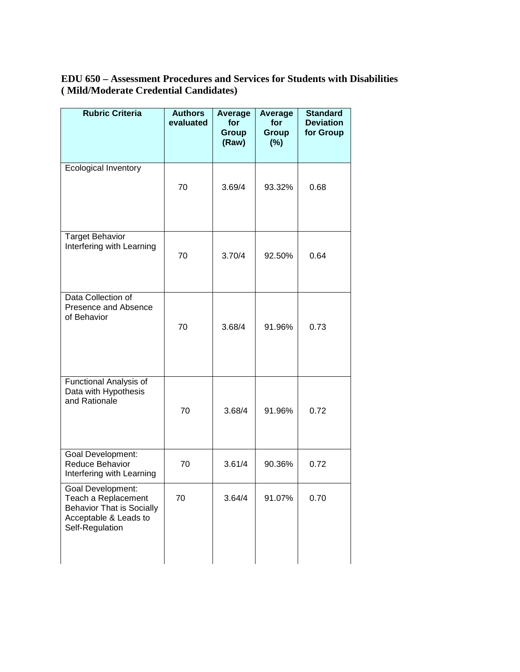# **EDU 650 – Assessment Procedures and Services for Students with Disabilities ( Mild/Moderate Credential Candidates)**

| <b>Rubric Criteria</b>                                                                                                   | <b>Authors</b><br>evaluated | Average<br>for<br><b>Group</b><br>(Raw) | Average<br>for<br><b>Group</b><br>$(\%)$ | <b>Standard</b><br><b>Deviation</b><br>for Group |
|--------------------------------------------------------------------------------------------------------------------------|-----------------------------|-----------------------------------------|------------------------------------------|--------------------------------------------------|
| <b>Ecological Inventory</b>                                                                                              | 70                          | 3.69/4                                  | 93.32%                                   | 0.68                                             |
| <b>Target Behavior</b><br>Interfering with Learning                                                                      | 70                          | 3.70/4                                  | 92.50%                                   | 0.64                                             |
| Data Collection of<br>Presence and Absence<br>of Behavior                                                                | 70                          | 3.68/4                                  | 91.96%                                   | 0.73                                             |
| Functional Analysis of<br>Data with Hypothesis<br>and Rationale                                                          | 70                          | 3.68/4                                  | 91.96%                                   | 0.72                                             |
| <b>Goal Development:</b><br>Reduce Behavior<br>Interfering with Learning                                                 | 70                          | 3.61/4                                  | 90.36%                                   | 0.72                                             |
| Goal Development:<br>Teach a Replacement<br><b>Behavior That is Socially</b><br>Acceptable & Leads to<br>Self-Regulation | 70                          | 3.64/4                                  | 91.07%                                   | 0.70                                             |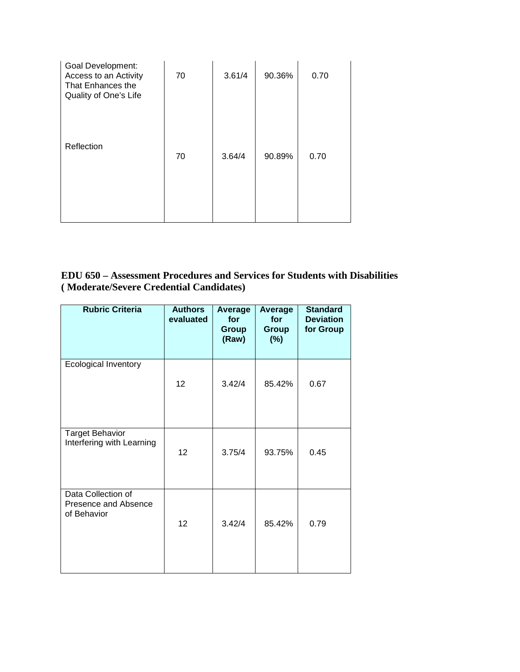| Goal Development:<br>Access to an Activity<br>That Enhances the<br>Quality of One's Life | 70 | 3.61/4 | 90.36% | 0.70 |
|------------------------------------------------------------------------------------------|----|--------|--------|------|
| Reflection                                                                               | 70 | 3.64/4 | 90.89% | 0.70 |

# **EDU 650 – Assessment Procedures and Services for Students with Disabilities ( Moderate/Severe Credential Candidates)**

| <b>Rubric Criteria</b>                                    | <b>Authors</b><br>evaluated | Average<br>for<br><b>Group</b><br>(Raw) | Average<br>for<br><b>Group</b><br>$(\%)$ | <b>Standard</b><br><b>Deviation</b><br>for Group |
|-----------------------------------------------------------|-----------------------------|-----------------------------------------|------------------------------------------|--------------------------------------------------|
| <b>Ecological Inventory</b>                               | 12                          | 3.42/4                                  | 85.42%                                   | 0.67                                             |
| <b>Target Behavior</b><br>Interfering with Learning       | 12                          | 3.75/4                                  | 93.75%                                   | 0.45                                             |
| Data Collection of<br>Presence and Absence<br>of Behavior | 12 <sup>2</sup>             | 3.42/4                                  | 85.42%                                   | 0.79                                             |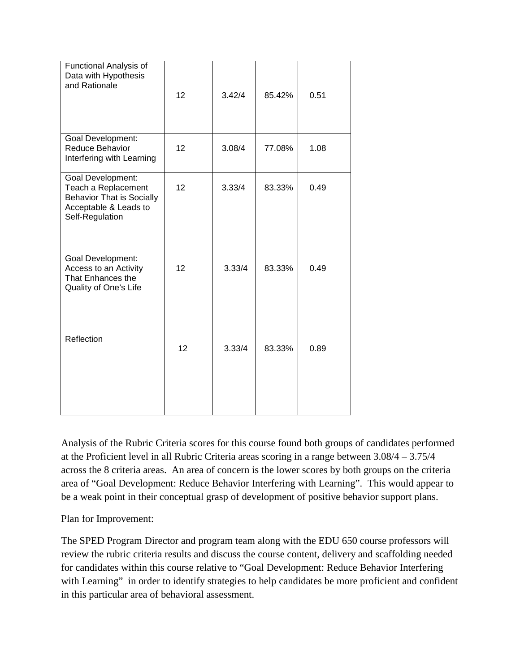| Functional Analysis of<br>Data with Hypothesis<br>and Rationale                                                                 | 12 | 3.42/4 | 85.42% | 0.51 |
|---------------------------------------------------------------------------------------------------------------------------------|----|--------|--------|------|
| Goal Development:<br>Reduce Behavior<br>Interfering with Learning                                                               | 12 | 3.08/4 | 77.08% | 1.08 |
| <b>Goal Development:</b><br>Teach a Replacement<br><b>Behavior That is Socially</b><br>Acceptable & Leads to<br>Self-Regulation | 12 | 3.33/4 | 83.33% | 0.49 |
| Goal Development:<br>Access to an Activity<br>That Enhances the<br>Quality of One's Life                                        | 12 | 3.33/4 | 83.33% | 0.49 |
| Reflection                                                                                                                      | 12 | 3.33/4 | 83.33% | 0.89 |

Analysis of the Rubric Criteria scores for this course found both groups of candidates performed at the Proficient level in all Rubric Criteria areas scoring in a range between 3.08/4 – 3.75/4 across the 8 criteria areas. An area of concern is the lower scores by both groups on the criteria area of "Goal Development: Reduce Behavior Interfering with Learning". This would appear to be a weak point in their conceptual grasp of development of positive behavior support plans.

Plan for Improvement:

The SPED Program Director and program team along with the EDU 650 course professors will review the rubric criteria results and discuss the course content, delivery and scaffolding needed for candidates within this course relative to "Goal Development: Reduce Behavior Interfering with Learning" in order to identify strategies to help candidates be more proficient and confident in this particular area of behavioral assessment.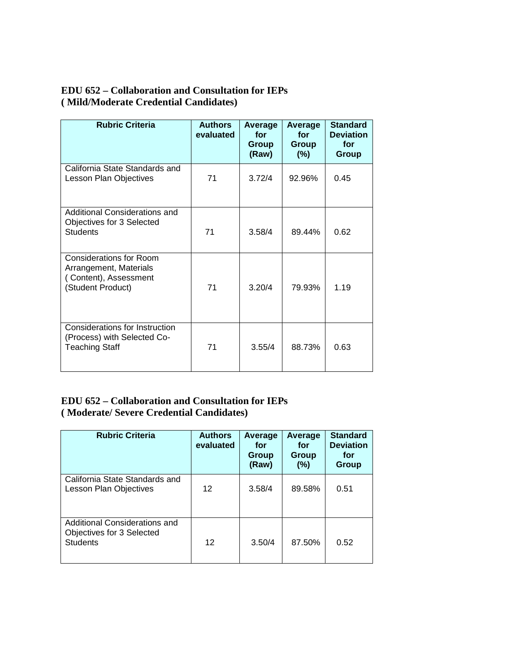# **EDU 652 – Collaboration and Consultation for IEPs ( Mild/Moderate Credential Candidates)**

| <b>Rubric Criteria</b>                                                                                 | <b>Authors</b><br>evaluated | Average<br>for<br>Group<br>(Raw) | Average<br>for<br><b>Group</b><br>$(\%)$ | <b>Standard</b><br><b>Deviation</b><br>for<br><b>Group</b> |
|--------------------------------------------------------------------------------------------------------|-----------------------------|----------------------------------|------------------------------------------|------------------------------------------------------------|
| California State Standards and<br>Lesson Plan Objectives                                               | 71                          | 3.72/4                           | 92.96%                                   | 0.45                                                       |
| Additional Considerations and<br>Objectives for 3 Selected<br><b>Students</b>                          | 71                          | 3.58/4                           | 89.44%                                   | 0.62                                                       |
| <b>Considerations for Room</b><br>Arrangement, Materials<br>(Content), Assessment<br>(Student Product) | 71                          | 3.20/4                           | 79.93%                                   | 1.19                                                       |
| Considerations for Instruction<br>(Process) with Selected Co-<br><b>Teaching Staff</b>                 | 71                          | 3.55/4                           | 88.73%                                   | 0.63                                                       |

# **EDU 652 – Collaboration and Consultation for IEPs ( Moderate/ Severe Credential Candidates)**

| <b>Rubric Criteria</b>                                                        | <b>Authors</b><br>evaluated | Average<br>for<br>Group<br>(Raw) | Average<br>for<br>Group<br>(%) | <b>Standard</b><br><b>Deviation</b><br>for<br>Group |
|-------------------------------------------------------------------------------|-----------------------------|----------------------------------|--------------------------------|-----------------------------------------------------|
| California State Standards and<br>Lesson Plan Objectives                      | 12 <sup>2</sup>             | 3.58/4                           | 89.58%                         | 0.51                                                |
| Additional Considerations and<br>Objectives for 3 Selected<br><b>Students</b> | 12                          | 3.50/4                           | 87.50%                         | 0.52                                                |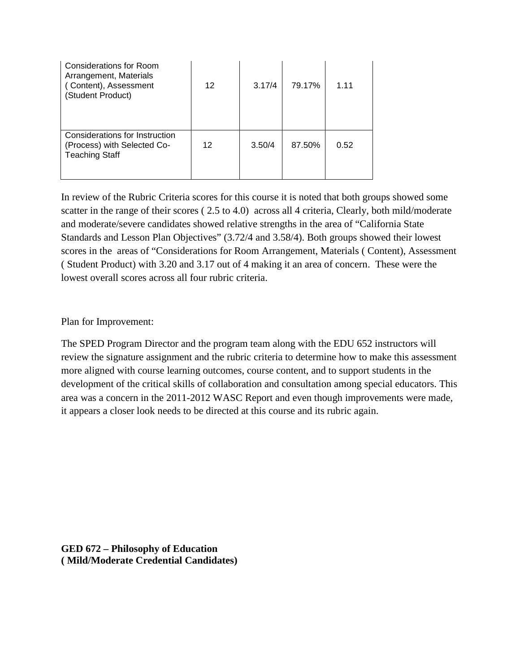| Considerations for Room<br>Arrangement, Materials<br>(Content), Assessment<br>(Student Product) | 12 | 3.17/4 | 79.17% | 1 1 1 |
|-------------------------------------------------------------------------------------------------|----|--------|--------|-------|
| Considerations for Instruction<br>(Process) with Selected Co-<br><b>Teaching Staff</b>          | 12 | 3.50/4 | 87.50% | 0.52  |

In review of the Rubric Criteria scores for this course it is noted that both groups showed some scatter in the range of their scores (2.5 to 4.0) across all 4 criteria, Clearly, both mild/moderate and moderate/severe candidates showed relative strengths in the area of "California State Standards and Lesson Plan Objectives" (3.72/4 and 3.58/4). Both groups showed their lowest scores in the areas of "Considerations for Room Arrangement, Materials ( Content), Assessment ( Student Product) with 3.20 and 3.17 out of 4 making it an area of concern. These were the lowest overall scores across all four rubric criteria.

Plan for Improvement:

The SPED Program Director and the program team along with the EDU 652 instructors will review the signature assignment and the rubric criteria to determine how to make this assessment more aligned with course learning outcomes, course content, and to support students in the development of the critical skills of collaboration and consultation among special educators. This area was a concern in the 2011-2012 WASC Report and even though improvements were made, it appears a closer look needs to be directed at this course and its rubric again.

**GED 672 – Philosophy of Education ( Mild/Moderate Credential Candidates)**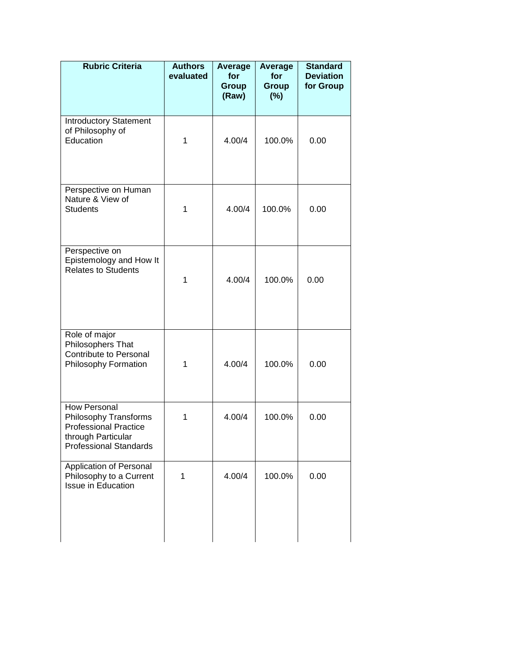| <b>Rubric Criteria</b>                                                                                                              | <b>Authors</b><br>evaluated | Average<br>for<br>Group<br>(Raw) | Average<br>for<br><b>Group</b><br>$(\%)$ | <b>Standard</b><br><b>Deviation</b><br>for Group |
|-------------------------------------------------------------------------------------------------------------------------------------|-----------------------------|----------------------------------|------------------------------------------|--------------------------------------------------|
| <b>Introductory Statement</b><br>of Philosophy of<br>Education                                                                      | $\mathbf{1}$                | 4.00/4                           | 100.0%                                   | 0.00                                             |
| Perspective on Human<br>Nature & View of<br><b>Students</b>                                                                         | $\mathbf{1}$                | 4.00/4                           | 100.0%                                   | 0.00                                             |
| Perspective on<br>Epistemology and How It<br><b>Relates to Students</b>                                                             | $\mathbf{1}$                | 4.00/4                           | 100.0%                                   | 0.00                                             |
| Role of major<br>Philosophers That<br>Contribute to Personal<br>Philosophy Formation                                                | $\mathbf{1}$                | 4.00/4                           | 100.0%                                   | 0.00                                             |
| <b>How Personal</b><br>Philosophy Transforms<br><b>Professional Practice</b><br>through Particular<br><b>Professional Standards</b> | 1                           | 4.00/4                           | 100.0%                                   | 0.00                                             |
| Application of Personal<br>Philosophy to a Current<br>Issue in Education                                                            | 1                           | 4.00/4                           | 100.0%                                   | 0.00                                             |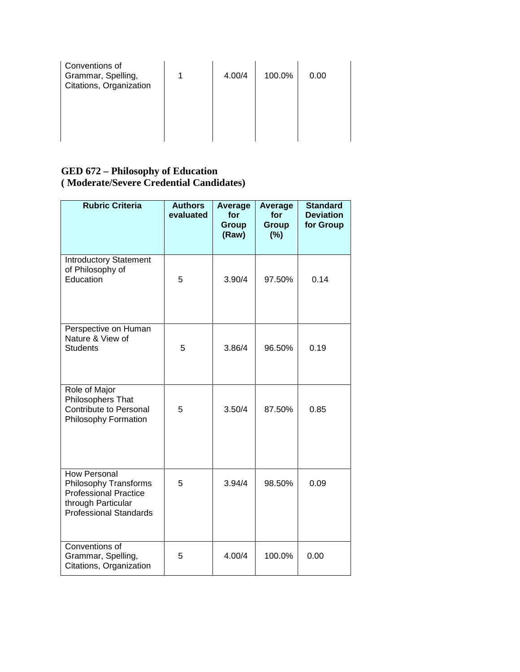| Conventions of<br>Grammar, Spelling,<br>Citations, Organization | 4.00/4 | 100.0% | 0.00 |
|-----------------------------------------------------------------|--------|--------|------|
|                                                                 |        |        |      |

## **GED 672 – Philosophy of Education ( Moderate/Severe Credential Candidates)**

| <b>Rubric Criteria</b>                                                                                                       | <b>Authors</b><br>evaluated | Average<br>for<br><b>Group</b><br>(Raw) | Average<br>for<br>Group<br>(%) | <b>Standard</b><br><b>Deviation</b><br>for Group |
|------------------------------------------------------------------------------------------------------------------------------|-----------------------------|-----------------------------------------|--------------------------------|--------------------------------------------------|
| <b>Introductory Statement</b><br>of Philosophy of<br>Education                                                               | 5                           | 3.90/4                                  | 97.50%                         | 0.14                                             |
| Perspective on Human<br>Nature & View of<br><b>Students</b>                                                                  | 5                           | 3.86/4                                  | 96.50%                         | 0.19                                             |
| Role of Major<br>Philosophers That<br>Contribute to Personal<br>Philosophy Formation                                         | 5                           | 3.50/4                                  | 87.50%                         | 0.85                                             |
| How Personal<br>Philosophy Transforms<br><b>Professional Practice</b><br>through Particular<br><b>Professional Standards</b> | 5                           | 3.94/4                                  | 98.50%                         | 0.09                                             |
| Conventions of<br>Grammar, Spelling,<br>Citations, Organization                                                              | 5                           | 4.00/4                                  | 100.0%                         | 0.00                                             |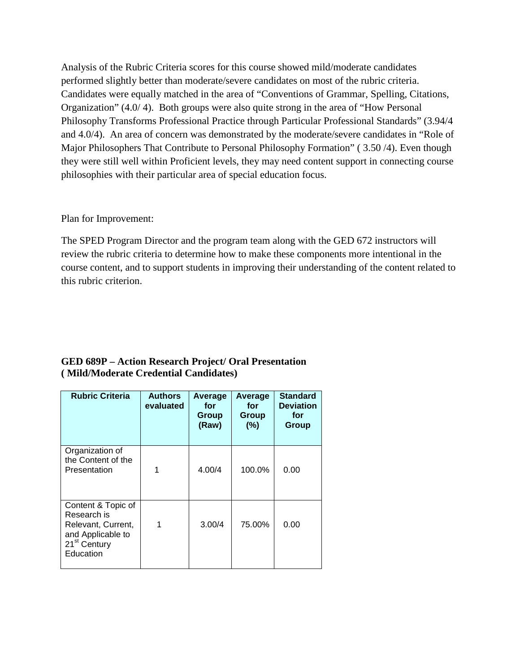Analysis of the Rubric Criteria scores for this course showed mild/moderate candidates performed slightly better than moderate/severe candidates on most of the rubric criteria. Candidates were equally matched in the area of "Conventions of Grammar, Spelling, Citations, Organization" (4.0/ 4). Both groups were also quite strong in the area of "How Personal Philosophy Transforms Professional Practice through Particular Professional Standards" (3.94/4 and 4.0/4). An area of concern was demonstrated by the moderate/severe candidates in "Role of Major Philosophers That Contribute to Personal Philosophy Formation" ( 3.50 /4). Even though they were still well within Proficient levels, they may need content support in connecting course philosophies with their particular area of special education focus.

## Plan for Improvement:

The SPED Program Director and the program team along with the GED 672 instructors will review the rubric criteria to determine how to make these components more intentional in the course content, and to support students in improving their understanding of the content related to this rubric criterion.

# **GED 689P – Action Research Project/ Oral Presentation ( Mild/Moderate Credential Candidates)**

| <b>Rubric Criteria</b>                                                                                                | <b>Authors</b><br>evaluated | Average<br>for<br>Group<br>(Raw) | Average<br>for<br>Group<br>(%) | <b>Standard</b><br><b>Deviation</b><br>for<br>Group |
|-----------------------------------------------------------------------------------------------------------------------|-----------------------------|----------------------------------|--------------------------------|-----------------------------------------------------|
| Organization of<br>the Content of the<br>Presentation                                                                 | 1                           | 4.00/4                           | 100.0%                         | 0.00                                                |
| Content & Topic of<br>Research is<br>Relevant, Current,<br>and Applicable to<br>21 <sup>st</sup> Century<br>Education |                             | 3.00/4                           | 75.00%                         | 0.00                                                |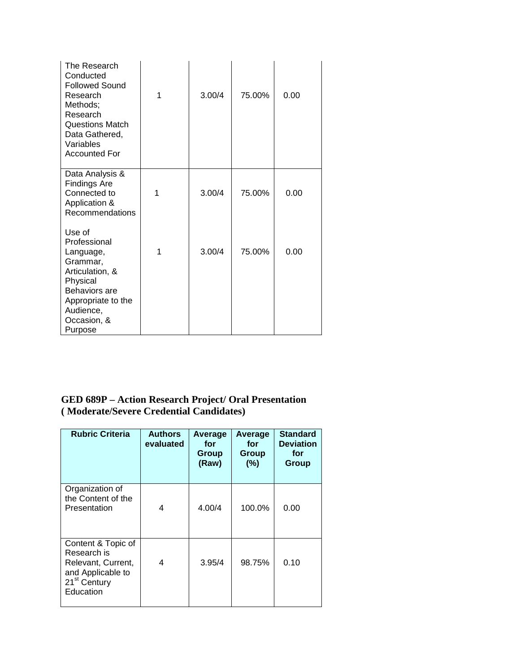| The Research<br>Conducted<br><b>Followed Sound</b><br>Research<br>Methods;<br>Research<br><b>Questions Match</b><br>Data Gathered,<br>Variables<br><b>Accounted For</b> | 1 | 3.00/4 | 75.00% | 0.00 |
|-------------------------------------------------------------------------------------------------------------------------------------------------------------------------|---|--------|--------|------|
| Data Analysis &<br><b>Findings Are</b><br>Connected to<br>Application &<br>Recommendations                                                                              | 1 | 3.00/4 | 75.00% | 0.00 |
| Use of<br>Professional<br>Language,<br>Grammar,<br>Articulation, &<br>Physical<br>Behaviors are<br>Appropriate to the<br>Audience,<br>Occasion, &<br>Purpose            | 1 | 3.00/4 | 75.00% | 0.00 |

# **GED 689P – Action Research Project/ Oral Presentation ( Moderate/Severe Credential Candidates)**

| <b>Rubric Criteria</b>                                                                                                | <b>Authors</b><br>evaluated | Average<br>for<br>Group<br>(Raw) | Average<br>for<br>Group<br>(%) |      |
|-----------------------------------------------------------------------------------------------------------------------|-----------------------------|----------------------------------|--------------------------------|------|
| Organization of<br>the Content of the<br>Presentation                                                                 | 4                           | 4.00/4                           | 100.0%                         | 0.00 |
| Content & Topic of<br>Research is<br>Relevant, Current,<br>and Applicable to<br>21 <sup>st</sup> Century<br>Education | 4                           | 3.95/4                           | 98.75%                         | 0.10 |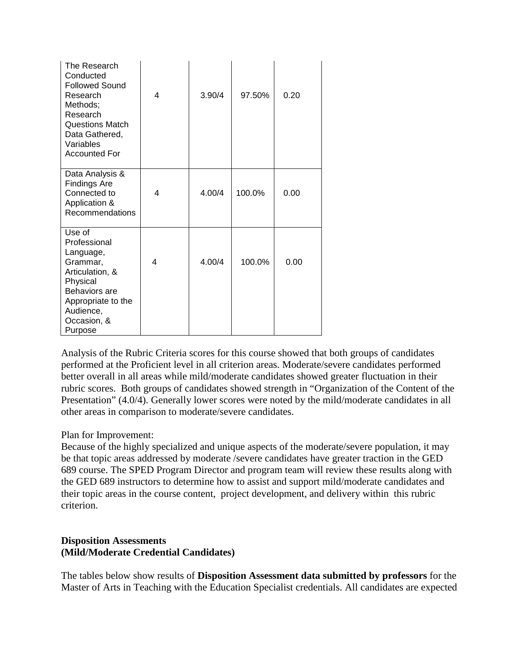| The Research<br>Conducted<br><b>Followed Sound</b><br>Research<br>Methods;<br>Research<br><b>Questions Match</b><br>Data Gathered,<br>Variables<br><b>Accounted For</b> | 4 | 3.90/4 | 97.50% | 0.20 |
|-------------------------------------------------------------------------------------------------------------------------------------------------------------------------|---|--------|--------|------|
| Data Analysis &<br><b>Findings Are</b><br>Connected to<br>Application &<br>Recommendations                                                                              | 4 | 4.00/4 | 100.0% | 0.00 |
| Use of<br>Professional<br>Language,<br>Grammar,<br>Articulation, &<br>Physical<br>Behaviors are<br>Appropriate to the<br>Audience,<br>Occasion, &<br>Purpose            | 4 | 4.00/4 | 100.0% | 0.00 |

Analysis of the Rubric Criteria scores for this course showed that both groups of candidates performed at the Proficient level in all criterion areas. Moderate/severe candidates performed better overall in all areas while mild/moderate candidates showed greater fluctuation in their rubric scores. Both groups of candidates showed strength in "Organization of the Content of the Presentation" (4.0/4). Generally lower scores were noted by the mild/moderate candidates in all other areas in comparison to moderate/severe candidates.

#### Plan for Improvement:

Because of the highly specialized and unique aspects of the moderate/severe population, it may be that topic areas addressed by moderate /severe candidates have greater traction in the GED 689 course. The SPED Program Director and program team will review these results along with the GED 689 instructors to determine how to assist and support mild/moderate candidates and their topic areas in the course content, project development, and delivery within this rubric criterion.

#### **Disposition Assessments (Mild/Moderate Credential Candidates)**

The tables below show results of **Disposition Assessment data submitted by professors** for the Master of Arts in Teaching with the Education Specialist credentials. All candidates are expected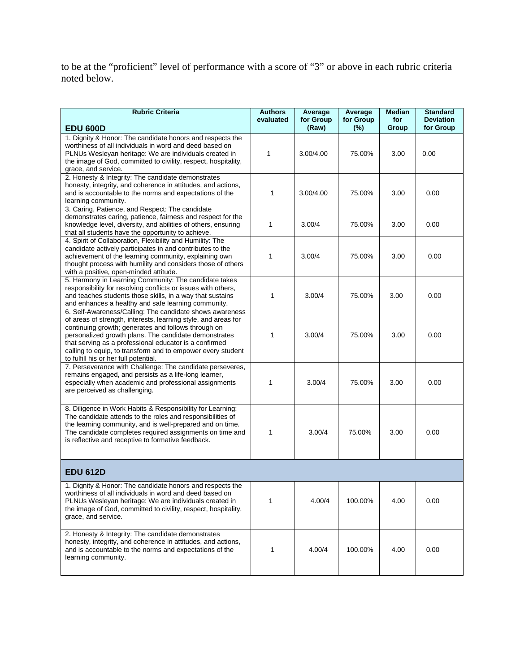to be at the "proficient" level of performance with a score of "3" or above in each rubric criteria noted below.

| <b>Rubric Criteria</b>                                                                                                                                                                                                                                                                                                                                                                                       | <b>Authors</b><br>evaluated | Average<br>for Group<br>(Raw) | Average<br>for Group | <b>Median</b><br>for | <b>Standard</b><br><b>Deviation</b><br>for Group |
|--------------------------------------------------------------------------------------------------------------------------------------------------------------------------------------------------------------------------------------------------------------------------------------------------------------------------------------------------------------------------------------------------------------|-----------------------------|-------------------------------|----------------------|----------------------|--------------------------------------------------|
| <b>EDU 600D</b>                                                                                                                                                                                                                                                                                                                                                                                              |                             |                               | $(\%)$               | Group                |                                                  |
| 1. Dignity & Honor: The candidate honors and respects the<br>worthiness of all individuals in word and deed based on<br>PLNUs Wesleyan heritage: We are individuals created in<br>the image of God, committed to civility, respect, hospitality,<br>grace, and service.                                                                                                                                      | 1                           | 3.00/4.00                     | 75.00%               | 3.00                 | 0.00                                             |
| 2. Honesty & Integrity: The candidate demonstrates<br>honesty, integrity, and coherence in attitudes, and actions,<br>and is accountable to the norms and expectations of the<br>learning community.                                                                                                                                                                                                         | 1                           | 3.00/4.00                     | 75.00%               | 3.00                 | 0.00                                             |
| 3. Caring, Patience, and Respect: The candidate<br>demonstrates caring, patience, fairness and respect for the<br>knowledge level, diversity, and abilities of others, ensuring<br>that all students have the opportunity to achieve.                                                                                                                                                                        | 1                           | 3.00/4                        | 75.00%               | 3.00                 | 0.00                                             |
| 4. Spirit of Collaboration, Flexibility and Humility: The<br>candidate actively participates in and contributes to the<br>achievement of the learning community, explaining own<br>thought process with humility and considers those of others<br>with a positive, open-minded attitude.                                                                                                                     | 1                           | 3.00/4                        | 75.00%               | 3.00                 | 0.00                                             |
| 5. Harmony in Learning Community: The candidate takes<br>responsibility for resolving conflicts or issues with others,<br>and teaches students those skills, in a way that sustains<br>and enhances a healthy and safe learning community.                                                                                                                                                                   | 1                           | 3.00/4                        | 75.00%               | 3.00                 | 0.00                                             |
| 6. Self-Awareness/Calling: The candidate shows awareness<br>of areas of strength, interests, learning style, and areas for<br>continuing growth; generates and follows through on<br>personalized growth plans. The candidate demonstrates<br>that serving as a professional educator is a confirmed<br>calling to equip, to transform and to empower every student<br>to fulfill his or her full potential. | 1                           | 3.00/4                        | 75.00%               | 3.00                 | 0.00                                             |
| 7. Perseverance with Challenge: The candidate perseveres,<br>remains engaged, and persists as a life-long learner,<br>especially when academic and professional assignments<br>are perceived as challenging.                                                                                                                                                                                                 | 1                           | 3.00/4                        | 75.00%               | 3.00                 | 0.00                                             |
| 8. Diligence in Work Habits & Responsibility for Learning:<br>The candidate attends to the roles and responsibilities of<br>the learning community, and is well-prepared and on time.<br>The candidate completes required assignments on time and<br>is reflective and receptive to formative feedback.                                                                                                      | 1                           | 3.00/4                        | 75.00%               | 3.00                 | 0.00                                             |
| <b>EDU 612D</b>                                                                                                                                                                                                                                                                                                                                                                                              |                             |                               |                      |                      |                                                  |
| 1. Dignity & Honor: The candidate honors and respects the<br>worthiness of all individuals in word and deed based on<br>PLNUs Wesleyan heritage: We are individuals created in<br>the image of God, committed to civility, respect, hospitality,<br>grace, and service.                                                                                                                                      | 1                           | 4.00/4                        | 100.00%              | 4.00                 | 0.00                                             |
| 2. Honesty & Integrity: The candidate demonstrates<br>honesty, integrity, and coherence in attitudes, and actions,<br>and is accountable to the norms and expectations of the<br>learning community.                                                                                                                                                                                                         | 1                           | 4.00/4                        | 100.00%              | 4.00                 | 0.00                                             |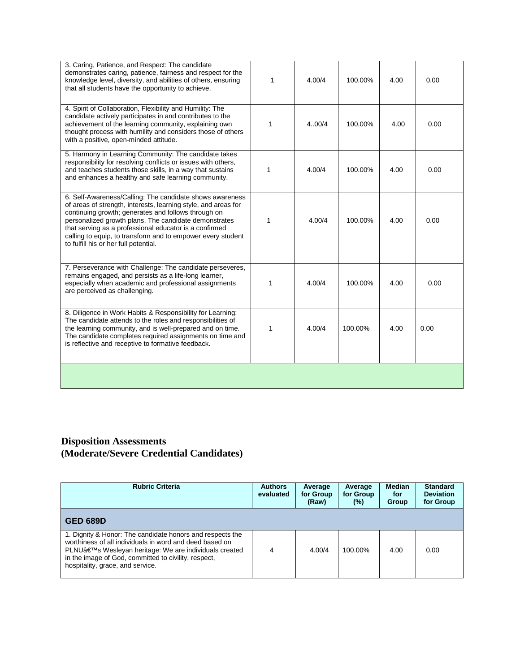| 3. Caring, Patience, and Respect: The candidate<br>demonstrates caring, patience, fairness and respect for the<br>knowledge level, diversity, and abilities of others, ensuring<br>that all students have the opportunity to achieve.                                                                                                                                                                        | 1 | 4.00/4 | 100.00% | 4.00 | 0.00 |
|--------------------------------------------------------------------------------------------------------------------------------------------------------------------------------------------------------------------------------------------------------------------------------------------------------------------------------------------------------------------------------------------------------------|---|--------|---------|------|------|
| 4. Spirit of Collaboration, Flexibility and Humility: The<br>candidate actively participates in and contributes to the<br>achievement of the learning community, explaining own<br>thought process with humility and considers those of others<br>with a positive, open-minded attitude.                                                                                                                     | 1 | 4.00/4 | 100.00% | 4.00 | 0.00 |
| 5. Harmony in Learning Community: The candidate takes<br>responsibility for resolving conflicts or issues with others,<br>and teaches students those skills, in a way that sustains<br>and enhances a healthy and safe learning community.                                                                                                                                                                   | 1 | 4.00/4 | 100.00% | 4.00 | 0.00 |
| 6. Self-Awareness/Calling: The candidate shows awareness<br>of areas of strength, interests, learning style, and areas for<br>continuing growth; generates and follows through on<br>personalized growth plans. The candidate demonstrates<br>that serving as a professional educator is a confirmed<br>calling to equip, to transform and to empower every student<br>to fulfill his or her full potential. | 1 | 4.00/4 | 100.00% | 4.00 | 0.00 |
| 7. Perseverance with Challenge: The candidate perseveres,<br>remains engaged, and persists as a life-long learner,<br>especially when academic and professional assignments<br>are perceived as challenging.                                                                                                                                                                                                 | 1 | 4.00/4 | 100.00% | 4.00 | 0.00 |
| 8. Diligence in Work Habits & Responsibility for Learning:<br>The candidate attends to the roles and responsibilities of<br>the learning community, and is well-prepared and on time.<br>The candidate completes required assignments on time and<br>is reflective and receptive to formative feedback.                                                                                                      | 1 | 4.00/4 | 100.00% | 4.00 | 0.00 |
|                                                                                                                                                                                                                                                                                                                                                                                                              |   |        |         |      |      |

## **Disposition Assessments (Moderate/Severe Credential Candidates)**

| <b>Rubric Criteria</b>                                                                                                                                                                                                                                                   | <b>Authors</b><br>evaluated | Average<br>for Group<br>(Raw) | Average<br>for Group<br>(%) | <b>Median</b><br>for<br>Group | <b>Standard</b><br><b>Deviation</b><br>for Group |
|--------------------------------------------------------------------------------------------------------------------------------------------------------------------------------------------------------------------------------------------------------------------------|-----------------------------|-------------------------------|-----------------------------|-------------------------------|--------------------------------------------------|
| <b>GED 689D</b>                                                                                                                                                                                                                                                          |                             |                               |                             |                               |                                                  |
| 1. Dignity & Honor: The candidate honors and respects the<br>worthiness of all individuals in word and deed based on<br>PLNU's Wesleyan heritage: We are individuals created<br>in the image of God, committed to civility, respect,<br>hospitality, grace, and service. | 4                           | 4.00/4                        | 100.00%                     | 4.00                          | 0.00                                             |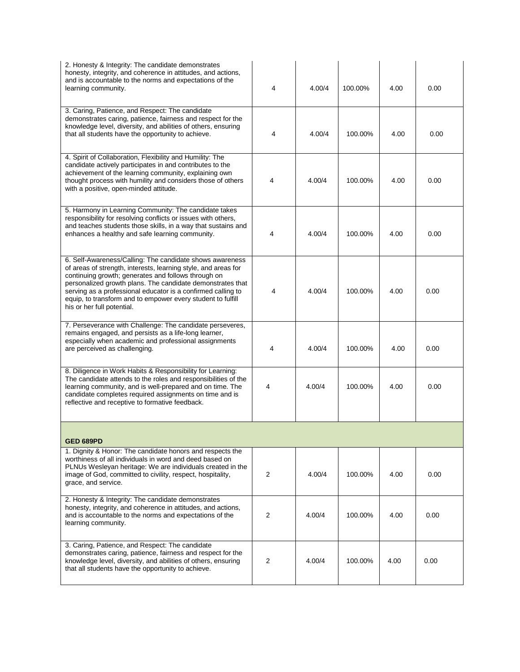| 2. Honesty & Integrity: The candidate demonstrates<br>honesty, integrity, and coherence in attitudes, and actions,<br>and is accountable to the norms and expectations of the<br>learning community.                                                                                                                                                                                                         | 4              | 4.00/4 | 100.00% | 4.00 | 0.00 |  |
|--------------------------------------------------------------------------------------------------------------------------------------------------------------------------------------------------------------------------------------------------------------------------------------------------------------------------------------------------------------------------------------------------------------|----------------|--------|---------|------|------|--|
| 3. Caring, Patience, and Respect: The candidate<br>demonstrates caring, patience, fairness and respect for the<br>knowledge level, diversity, and abilities of others, ensuring<br>that all students have the opportunity to achieve.                                                                                                                                                                        | 4              | 4.00/4 | 100.00% | 4.00 | 0.00 |  |
| 4. Spirit of Collaboration, Flexibility and Humility: The<br>candidate actively participates in and contributes to the<br>achievement of the learning community, explaining own<br>thought process with humility and considers those of others<br>with a positive, open-minded attitude.                                                                                                                     | 4              | 4.00/4 | 100.00% | 4.00 | 0.00 |  |
| 5. Harmony in Learning Community: The candidate takes<br>responsibility for resolving conflicts or issues with others,<br>and teaches students those skills, in a way that sustains and<br>enhances a healthy and safe learning community.                                                                                                                                                                   | 4              | 4.00/4 | 100.00% | 4.00 | 0.00 |  |
| 6. Self-Awareness/Calling: The candidate shows awareness<br>of areas of strength, interests, learning style, and areas for<br>continuing growth; generates and follows through on<br>personalized growth plans. The candidate demonstrates that<br>serving as a professional educator is a confirmed calling to<br>equip, to transform and to empower every student to fulfill<br>his or her full potential. | 4              | 4.00/4 | 100.00% | 4.00 | 0.00 |  |
| 7. Perseverance with Challenge: The candidate perseveres,<br>remains engaged, and persists as a life-long learner,<br>especially when academic and professional assignments<br>are perceived as challenging.                                                                                                                                                                                                 | 4              | 4.00/4 | 100.00% | 4.00 | 0.00 |  |
| 8. Diligence in Work Habits & Responsibility for Learning:<br>The candidate attends to the roles and responsibilities of the<br>learning community, and is well-prepared and on time. The<br>candidate completes required assignments on time and is<br>reflective and receptive to formative feedback.                                                                                                      | 4              | 4.00/4 | 100.00% | 4.00 | 0.00 |  |
| GED 689PD                                                                                                                                                                                                                                                                                                                                                                                                    |                |        |         |      |      |  |
| 1. Dignity & Honor: The candidate honors and respects the<br>worthiness of all individuals in word and deed based on<br>PLNUs Wesleyan heritage: We are individuals created in the<br>image of God, committed to civility, respect, hospitality,<br>grace, and service.                                                                                                                                      | $\overline{2}$ | 4.00/4 | 100.00% | 4.00 | 0.00 |  |
| 2. Honesty & Integrity: The candidate demonstrates<br>honesty, integrity, and coherence in attitudes, and actions,<br>and is accountable to the norms and expectations of the<br>learning community.                                                                                                                                                                                                         | 2              | 4.00/4 | 100.00% | 4.00 | 0.00 |  |
| 3. Caring, Patience, and Respect: The candidate<br>demonstrates caring, patience, fairness and respect for the<br>knowledge level, diversity, and abilities of others, ensuring<br>that all students have the opportunity to achieve.                                                                                                                                                                        | 2              | 4.00/4 | 100.00% | 4.00 | 0.00 |  |